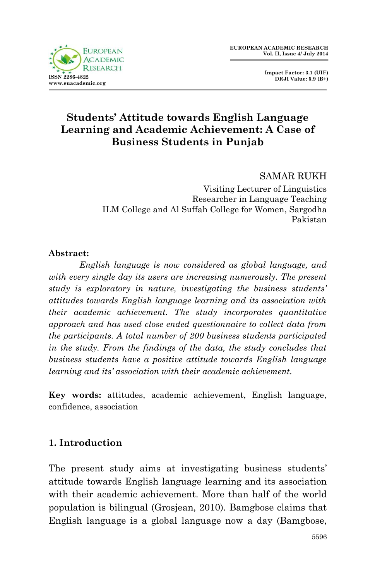

 **Impact Factor: 3.1 (UIF) DRJI Value: 5.9 (B+)**

# **Students' Attitude towards English Language Learning and Academic Achievement: A Case of Business Students in Punjab**

SAMAR RUKH

Visiting Lecturer of Linguistics Researcher in Language Teaching ILM College and Al Suffah College for Women, Sargodha Pakistan

#### **Abstract:**

*English language is now considered as global language, and with every single day its users are increasing numerously. The present study is exploratory in nature, investigating the business students' attitudes towards English language learning and its association with their academic achievement. The study incorporates quantitative approach and has used close ended questionnaire to collect data from the participants. A total number of 200 business students participated in the study. From the findings of the data, the study concludes that business students have a positive attitude towards English language learning and its' association with their academic achievement.*

**Key words:** attitudes, academic achievement, English language, confidence, association

# **1. Introduction**

The present study aims at investigating business students' attitude towards English language learning and its association with their academic achievement. More than half of the world population is bilingual (Grosjean, 2010). Bamgbose claims that English language is a global language now a day (Bamgbose,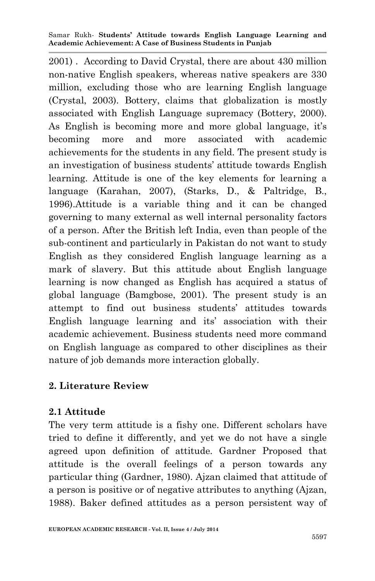2001) . According to David Crystal, there are about 430 million non-native English speakers, whereas native speakers are 330 million, excluding those who are learning English language (Crystal, 2003). Bottery, claims that globalization is mostly associated with English Language supremacy (Bottery, 2000). As English is becoming more and more global language, it's becoming more and more associated with academic achievements for the students in any field. The present study is an investigation of business students' attitude towards English learning. Attitude is one of the key elements for learning a language (Karahan, 2007), (Starks, D., & Paltridge, B., 1996).Attitude is a variable thing and it can be changed governing to many external as well internal personality factors of a person. After the British left India, even than people of the sub-continent and particularly in Pakistan do not want to study English as they considered English language learning as a mark of slavery. But this attitude about English language learning is now changed as English has acquired a status of global language (Bamgbose, 2001). The present study is an attempt to find out business students' attitudes towards English language learning and its' association with their academic achievement. Business students need more command on English language as compared to other disciplines as their nature of job demands more interaction globally.

## **2. Literature Review**

## **2.1 Attitude**

The very term attitude is a fishy one. Different scholars have tried to define it differently, and yet we do not have a single agreed upon definition of attitude. Gardner Proposed that attitude is the overall feelings of a person towards any particular thing (Gardner, 1980). Ajzan claimed that attitude of a person is positive or of negative attributes to anything (Ajzan, 1988). Baker defined attitudes as a person persistent way of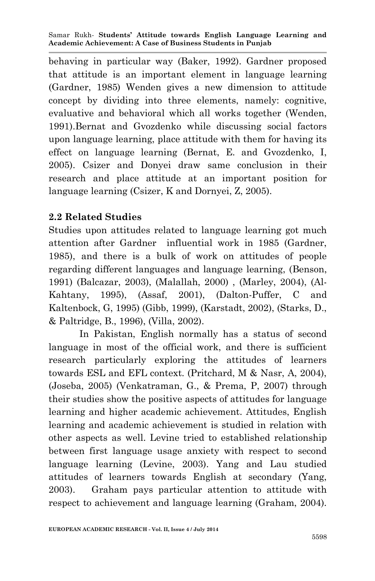behaving in particular way (Baker, 1992). Gardner proposed that attitude is an important element in language learning (Gardner, 1985) Wenden gives a new dimension to attitude concept by dividing into three elements, namely: cognitive, evaluative and behavioral which all works together (Wenden, 1991).Bernat and Gvozdenko while discussing social factors upon language learning, place attitude with them for having its effect on language learning (Bernat, E. and Gvozdenko, I, 2005). Csizer and Donyei draw same conclusion in their research and place attitude at an important position for language learning (Csizer, K and Dornyei, Z, 2005).

## **2.2 Related Studies**

Studies upon attitudes related to language learning got much attention after Gardner influential work in 1985 (Gardner, 1985), and there is a bulk of work on attitudes of people regarding different languages and language learning, (Benson, 1991) (Balcazar, 2003), (Malallah, 2000) , (Marley, 2004), (Al-Kahtany, 1995), (Assaf, 2001), (Dalton-Puffer, C and Kaltenbock, G, 1995) (Gibb, 1999), (Karstadt, 2002), (Starks, D., & Paltridge, B., 1996), (Villa, 2002).

In Pakistan, English normally has a status of second language in most of the official work, and there is sufficient research particularly exploring the attitudes of learners towards ESL and EFL context. (Pritchard, M & Nasr, A, 2004), (Joseba, 2005) (Venkatraman, G., & Prema, P, 2007) through their studies show the positive aspects of attitudes for language learning and higher academic achievement. Attitudes, English learning and academic achievement is studied in relation with other aspects as well. Levine tried to established relationship between first language usage anxiety with respect to second language learning (Levine, 2003). Yang and Lau studied attitudes of learners towards English at secondary (Yang, 2003). Graham pays particular attention to attitude with respect to achievement and language learning (Graham, 2004).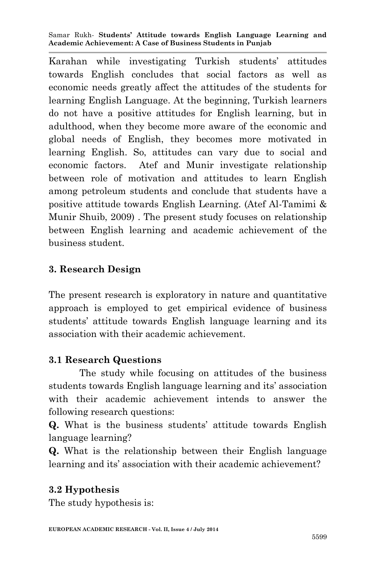Karahan while investigating Turkish students' attitudes towards English concludes that social factors as well as economic needs greatly affect the attitudes of the students for learning English Language. At the beginning, Turkish learners do not have a positive attitudes for English learning, but in adulthood, when they become more aware of the economic and global needs of English, they becomes more motivated in learning English. So, attitudes can vary due to social and economic factors. Atef and Munir investigate relationship between role of motivation and attitudes to learn English among petroleum students and conclude that students have a positive attitude towards English Learning. (Atef Al-Tamimi & Munir Shuib, 2009) . The present study focuses on relationship between English learning and academic achievement of the business student.

## **3. Research Design**

The present research is exploratory in nature and quantitative approach is employed to get empirical evidence of business students' attitude towards English language learning and its association with their academic achievement.

## **3.1 Research Questions**

The study while focusing on attitudes of the business students towards English language learning and its' association with their academic achievement intends to answer the following research questions:

**Q.** What is the business students' attitude towards English language learning?

**Q.** What is the relationship between their English language learning and its' association with their academic achievement?

### **3.2 Hypothesis**

The study hypothesis is: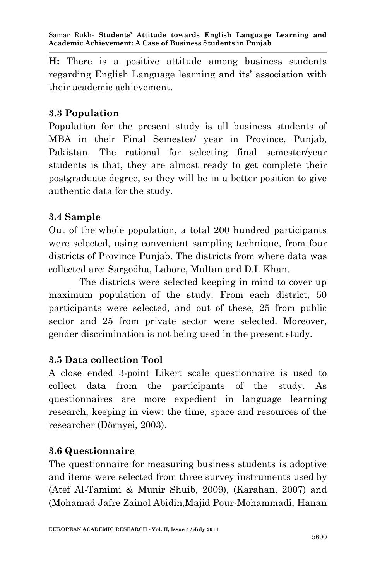**H:** There is a positive attitude among business students regarding English Language learning and its' association with their academic achievement.

### **3.3 Population**

Population for the present study is all business students of MBA in their Final Semester/ year in Province, Punjab, Pakistan. The rational for selecting final semester/year students is that, they are almost ready to get complete their postgraduate degree, so they will be in a better position to give authentic data for the study.

### **3.4 Sample**

Out of the whole population, a total 200 hundred participants were selected, using convenient sampling technique, from four districts of Province Punjab. The districts from where data was collected are: Sargodha, Lahore, Multan and D.I. Khan.

The districts were selected keeping in mind to cover up maximum population of the study. From each district, 50 participants were selected, and out of these, 25 from public sector and 25 from private sector were selected. Moreover, gender discrimination is not being used in the present study.

## **3.5 Data collection Tool**

A close ended 3-point Likert scale questionnaire is used to collect data from the participants of the study. As questionnaires are more expedient in language learning research, keeping in view: the time, space and resources of the researcher (Dörnyei, 2003).

## **3.6 Questionnaire**

The questionnaire for measuring business students is adoptive and items were selected from three survey instruments used by (Atef Al-Tamimi & Munir Shuib, 2009), (Karahan, 2007) and (Mohamad Jafre Zainol Abidin,Majid Pour-Mohammadi, Hanan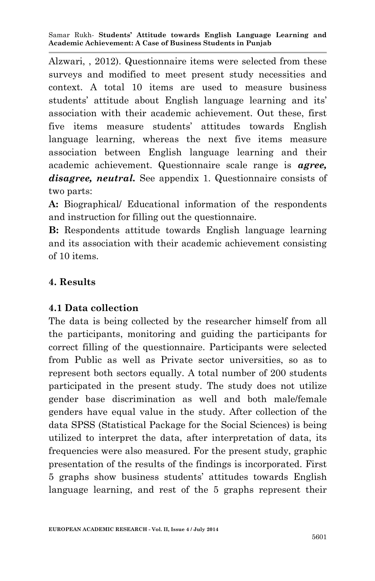Alzwari, , 2012). Questionnaire items were selected from these surveys and modified to meet present study necessities and context. A total 10 items are used to measure business students' attitude about English language learning and its' association with their academic achievement. Out these, first five items measure students' attitudes towards English language learning, whereas the next five items measure association between English language learning and their academic achievement. Questionnaire scale range is *agree, disagree, neutral.* See appendix 1. Questionnaire consists of two parts:

**A:** Biographical/ Educational information of the respondents and instruction for filling out the questionnaire.

**B:** Respondents attitude towards English language learning and its association with their academic achievement consisting of 10 items.

# **4. Results**

# **4.1 Data collection**

The data is being collected by the researcher himself from all the participants, monitoring and guiding the participants for correct filling of the questionnaire. Participants were selected from Public as well as Private sector universities, so as to represent both sectors equally. A total number of 200 students participated in the present study. The study does not utilize gender base discrimination as well and both male/female genders have equal value in the study. After collection of the data SPSS (Statistical Package for the Social Sciences) is being utilized to interpret the data, after interpretation of data, its frequencies were also measured. For the present study, graphic presentation of the results of the findings is incorporated. First 5 graphs show business students' attitudes towards English language learning, and rest of the 5 graphs represent their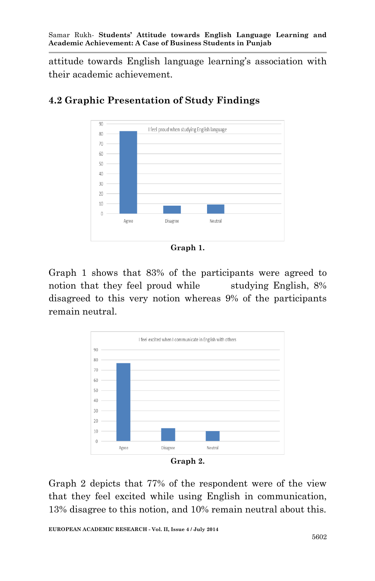attitude towards English language learning's association with their academic achievement.



# **4.2 Graphic Presentation of Study Findings**

**Graph 1.**

Graph 1 shows that 83% of the participants were agreed to notion that they feel proud while studying English, 8% disagreed to this very notion whereas 9% of the participants remain neutral.



**Graph 2.**

Graph 2 depicts that 77% of the respondent were of the view that they feel excited while using English in communication, 13% disagree to this notion, and 10% remain neutral about this.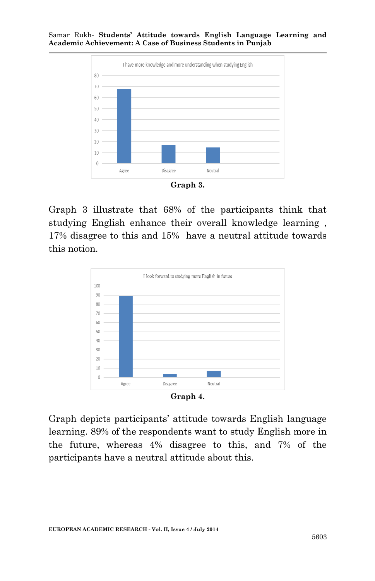

**Graph 3.**

Graph 3 illustrate that 68% of the participants think that studying English enhance their overall knowledge learning , 17% disagree to this and 15% have a neutral attitude towards this notion.



Graph depicts participants' attitude towards English language learning. 89% of the respondents want to study English more in the future, whereas 4% disagree to this, and 7% of the participants have a neutral attitude about this.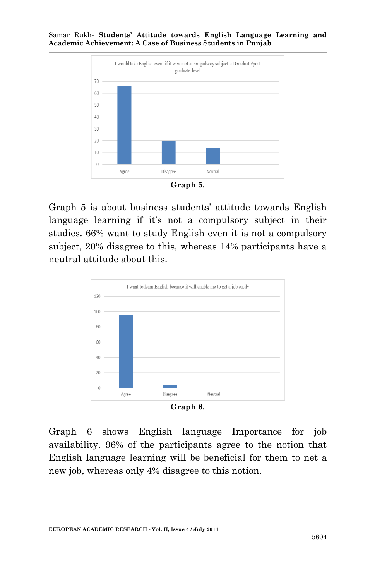

**Graph 5.**

Graph 5 is about business students' attitude towards English language learning if it's not a compulsory subject in their studies. 66% want to study English even it is not a compulsory subject, 20% disagree to this, whereas 14% participants have a neutral attitude about this.



Graph 6 shows English language Importance for job availability. 96% of the participants agree to the notion that English language learning will be beneficial for them to net a new job, whereas only 4% disagree to this notion.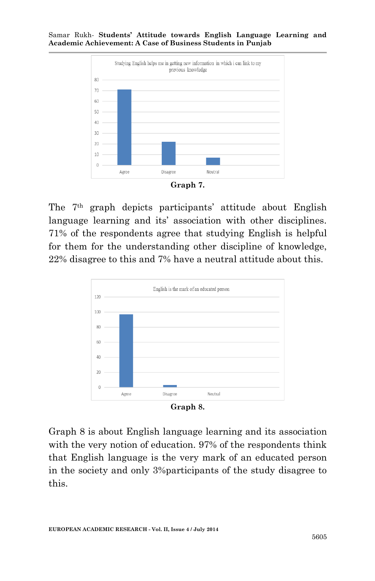



The 7th graph depicts participants' attitude about English language learning and its' association with other disciplines. 71% of the respondents agree that studying English is helpful for them for the understanding other discipline of knowledge, 22% disagree to this and 7% have a neutral attitude about this.



**Graph 8.**

Graph 8 is about English language learning and its association with the very notion of education. 97% of the respondents think that English language is the very mark of an educated person in the society and only 3%participants of the study disagree to this.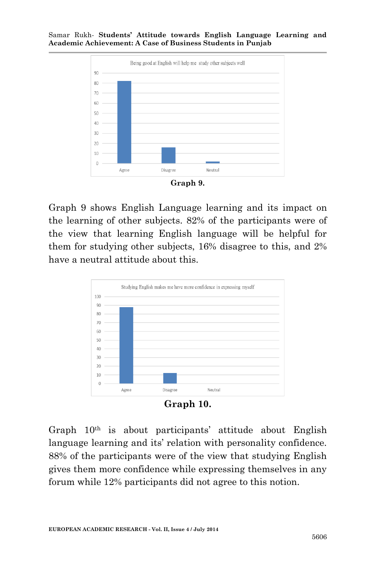

**Graph 9.**

Graph 9 shows English Language learning and its impact on the learning of other subjects. 82% of the participants were of the view that learning English language will be helpful for them for studying other subjects, 16% disagree to this, and 2% have a neutral attitude about this.



**Graph 10.**

Graph  $10<sup>th</sup>$  is about participants' attitude about English language learning and its' relation with personality confidence. 88% of the participants were of the view that studying English gives them more confidence while expressing themselves in any forum while 12% participants did not agree to this notion.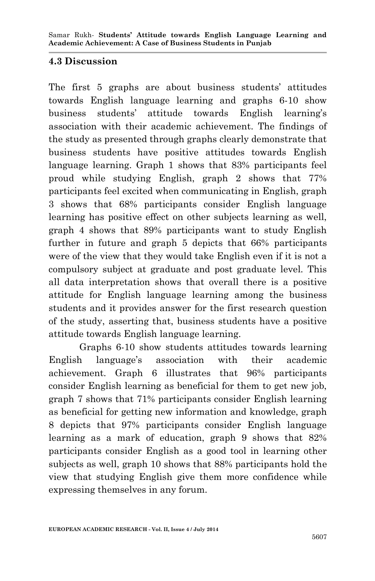## **4.3 Discussion**

The first 5 graphs are about business students' attitudes towards English language learning and graphs 6-10 show business students' attitude towards English learning's association with their academic achievement. The findings of the study as presented through graphs clearly demonstrate that business students have positive attitudes towards English language learning. Graph 1 shows that 83% participants feel proud while studying English, graph 2 shows that 77% participants feel excited when communicating in English, graph 3 shows that 68% participants consider English language learning has positive effect on other subjects learning as well, graph 4 shows that 89% participants want to study English further in future and graph 5 depicts that 66% participants were of the view that they would take English even if it is not a compulsory subject at graduate and post graduate level. This all data interpretation shows that overall there is a positive attitude for English language learning among the business students and it provides answer for the first research question of the study, asserting that, business students have a positive attitude towards English language learning.

Graphs 6-10 show students attitudes towards learning English language's association with their academic achievement. Graph 6 illustrates that 96% participants consider English learning as beneficial for them to get new job, graph 7 shows that 71% participants consider English learning as beneficial for getting new information and knowledge, graph 8 depicts that 97% participants consider English language learning as a mark of education, graph 9 shows that 82% participants consider English as a good tool in learning other subjects as well, graph 10 shows that 88% participants hold the view that studying English give them more confidence while expressing themselves in any forum.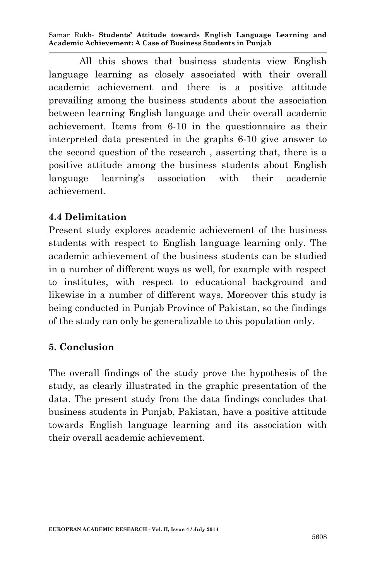All this shows that business students view English language learning as closely associated with their overall academic achievement and there is a positive attitude prevailing among the business students about the association between learning English language and their overall academic achievement. Items from 6-10 in the questionnaire as their interpreted data presented in the graphs 6-10 give answer to the second question of the research , asserting that, there is a positive attitude among the business students about English language learning's association with their academic achievement.

### **4.4 Delimitation**

Present study explores academic achievement of the business students with respect to English language learning only. The academic achievement of the business students can be studied in a number of different ways as well, for example with respect to institutes, with respect to educational background and likewise in a number of different ways. Moreover this study is being conducted in Punjab Province of Pakistan, so the findings of the study can only be generalizable to this population only.

### **5. Conclusion**

The overall findings of the study prove the hypothesis of the study, as clearly illustrated in the graphic presentation of the data. The present study from the data findings concludes that business students in Punjab, Pakistan, have a positive attitude towards English language learning and its association with their overall academic achievement.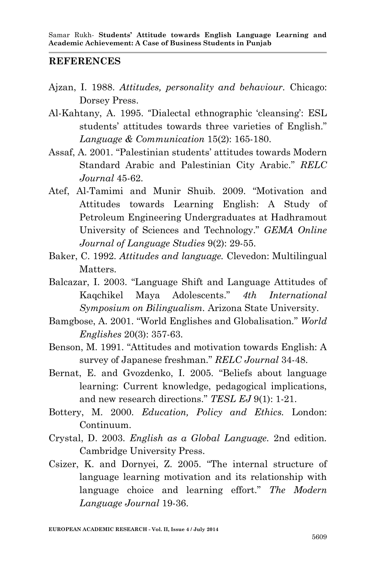#### **REFERENCES**

- Ajzan, I. 1988. *Attitudes, personality and behaviour.* Chicago: Dorsey Press.
- Al-Kahtany, A. 1995. "Dialectal ethnographic 'cleansing': ESL students' attitudes towards three varieties of English." *Language & Communication* 15(2): 165-180.
- Assaf, A. 2001. "Palestinian students' attitudes towards Modern Standard Arabic and Palestinian City Arabic." *RELC Journal* 45-62.
- Atef, Al-Tamimi and Munir Shuib. 2009. "Motivation and Attitudes towards Learning English: A Study of Petroleum Engineering Undergraduates at Hadhramout University of Sciences and Technology." *GEMA Online Journal of Language Studies* 9(2): 29-55.
- Baker, C. 1992. *Attitudes and language.* Clevedon: Multilingual Matters.
- Balcazar, I. 2003. "Language Shift and Language Attitudes of Kaqchikel Maya Adolescents." *4th International Symposium on Bilingualism.* Arizona State University.
- Bamgbose, A. 2001. "World Englishes and Globalisation." *World Englishes* 20(3): 357-63.
- Benson, M. 1991. "Attitudes and motivation towards English: A survey of Japanese freshman." *RELC Journal* 34-48.
- Bernat, E. and Gvozdenko, I. 2005. "Beliefs about language learning: Current knowledge, pedagogical implications, and new research directions." *TESL EJ* 9(1): 1-21.
- Bottery, M. 2000. *Education, Policy and Ethics.* London: Continuum.
- Crystal, D. 2003. *English as a Global Language.* 2nd edition*.* Cambridge University Press.
- Csizer, K. and Dornyei, Z. 2005. "The internal structure of language learning motivation and its relationship with language choice and learning effort." *The Modern Language Journal* 19-36.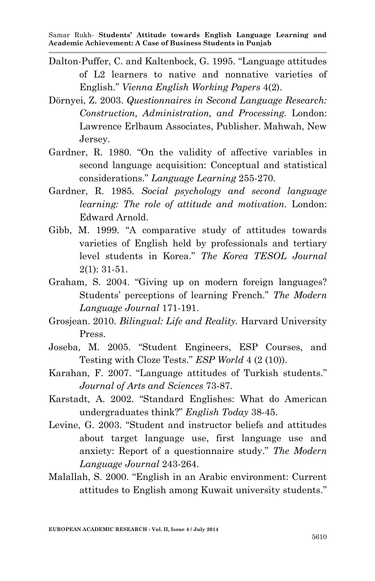- Dalton-Puffer, C. and Kaltenbock, G. 1995. "Language attitudes of L2 learners to native and nonnative varieties of English." *Vienna English Working Papers* 4(2).
- Dörnyei, Z. 2003. *Questionnaires in Second Language Research: Construction, Administration, and Processing.* London: Lawrence Erlbaum Associates, Publisher. Mahwah, New Jersey.
- Gardner, R. 1980. "On the validity of affective variables in second language acquisition: Conceptual and statistical considerations." *Language Learning* 255-270.
- Gardner, R. 1985. *Social psychology and second language learning: The role of attitude and motivation.* London: Edward Arnold.
- Gibb, M. 1999. "A comparative study of attitudes towards varieties of English held by professionals and tertiary level students in Korea." *The Korea TESOL Journal*  2(1): 31-51.
- Graham, S. 2004. "Giving up on modern foreign languages? Students' perceptions of learning French." *The Modern Language Journal* 171-191.
- Grosjean. 2010. *Bilingual: Life and Reality.* Harvard University Press.
- Joseba, M. 2005. "Student Engineers, ESP Courses, and Testing with Cloze Tests." *ESP World* 4 (2 (10)).
- Karahan, F. 2007. "Language attitudes of Turkish students." *Journal of Arts and Sciences* 73-87.
- Karstadt, A. 2002. "Standard Englishes: What do American undergraduates think?" *English Today* 38-45.
- Levine, G. 2003. "Student and instructor beliefs and attitudes about target language use, first language use and anxiety: Report of a questionnaire study." *The Modern Language Journal* 243-264.
- Malallah, S. 2000. "English in an Arabic environment: Current attitudes to English among Kuwait university students."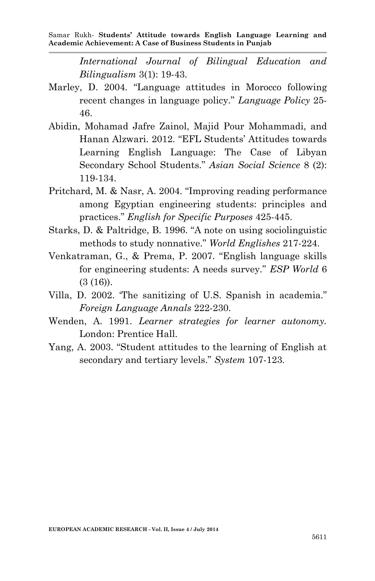*International Journal of Bilingual Education and Bilingualism* 3(1): 19-43.

- Marley, D. 2004. "Language attitudes in Morocco following recent changes in language policy." *Language Policy* 25- 46.
- Abidin, Mohamad Jafre Zainol, Majid Pour Mohammadi, and Hanan Alzwari. 2012. "EFL Students' Attitudes towards Learning English Language: The Case of Libyan Secondary School Students." *Asian Social Science* 8 (2): 119-134.
- Pritchard, M. & Nasr, A. 2004. "Improving reading performance among Egyptian engineering students: principles and practices." *English for Specific Purposes* 425-445.
- Starks, D. & Paltridge, B. 1996. "A note on using sociolinguistic methods to study nonnative." *World Englishes* 217-224.
- Venkatraman, G., & Prema, P. 2007. "English language skills for engineering students: A needs survey." *ESP World* 6  $(3(16))$ .
- Villa, D. 2002. 'The sanitizing of U.S. Spanish in academia." *Foreign Language Annals* 222-230.
- Wenden, A. 1991. *Learner strategies for learner autonomy.* London: Prentice Hall.
- Yang, A. 2003. "Student attitudes to the learning of English at secondary and tertiary levels." *System* 107-123.